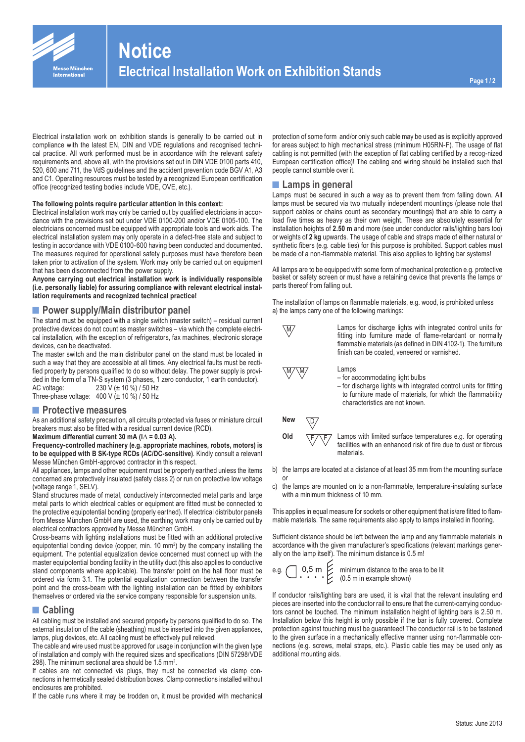

Electrical installation work on exhibition stands is generally to be carried out in compliance with the latest EN, DIN and VDE regulations and recognised technical practice. All work performed must be in accordance with the relevant safety requirements and, above all, with the provisions set out in DIN VDE 0100 parts 410, 520, 600 and 711, the VdS guidelines and the accident prevention code BGV A1, A3 and C1. Operating resources must be tested by a recognized European certification office (recognized testing bodies include VDE, OVE, etc.).

#### **The following points require particular attention in this context:**

Electrical installation work may only be carried out by qualified electricians in accordance with the provisions set out under VDE 0100-200 and/or VDE 0105-100. The electricians concerned must be equipped with appropriate tools and work aids. The electrical installation system may only operate in a defect-free state and subject to testing in accordance with VDE 0100-600 having been conducted and documented. The measures required for operational safety purposes must have therefore been taken prior to activation of the system. Work may only be carried out on equipment that has been disconnected from the power supply.

**Anyone carrying out electrical installation work is individually responsible (i.e. personally liable) for assuring compliance with relevant electrical installation requirements and recognized technical practice!**

### **■Power supply/Main distributor panel**

The stand must be equipped with a single switch (master switch) – residual current protective devices do not count as master switches – via which the complete electrical installation, with the exception of refrigerators, fax machines, electronic storage devices, can be deactivated.

The master switch and the main distributor panel on the stand must be located in such a way that they are accessible at all times. Any electrical faults must be rectified properly by persons qualified to do so without delay. The power supply is provided in the form of a TN-S system (3 phases, 1 zero conductor, 1 earth conductor). AC voltage: 230 V (± 10 %) / 50 Hz Three-phase voltage:  $400 \text{ V}$  ( $\pm 10 \%$ ) / 50 Hz

### **■Protective measures**

As an additional safety precaution, all circuits protected via fuses or miniature circuit breakers must also be fitted with a residual current device (RCD).

# **Maximum differential current 30 mA (I**∆ **= 0.03 A).**

**Frequency-controlled machinery (e.g. appropriate machines, robots, motors) is to be equipped with B SK-type RCDs (AC/DC-sensitive)**. Kindly consult a relevant Messe München GmbH-approved contractor in this respect.

All appliances, lamps and other equipment must be properly earthed unless the items concerned are protectively insulated (safety class 2) or run on protective low voltage (voltage range 1, SELV).

Stand structures made of metal, conductively interconnected metal parts and large metal parts to which electrical cables or equipment are fitted must be connected to the protective equipotential bonding (properly earthed). If electrical distributor panels from Messe München GmbH are used, the earthing work may only be carried out by electrical contractors approved by Messe München GmbH.

Cross-beams with lighting installations must be fitted with an additional protective equipotential bonding device (copper, min. 10 mm<sup>2</sup>) by the company installing the equipment. The potential equalization device concerned must connect up with the master equipotential bonding facility in the utility duct (this also applies to conductive stand components where applicable). The transfer point on the hall floor must be ordered via form 3.1. The potential equalization connection between the transfer point and the cross-beam with the lighting installation can be fitted by exhibitors themselves or ordered via the service company responsible for suspension units.

### **■Cabling**

All cabling must be installed and secured properly by persons qualified to do so. The external insulation of the cable (sheathing) must be inserted into the given appliances, lamps, plug devices, etc. All cabling must be effectively pull relieved.

The cable and wire used must be approved for usage in conjunction with the given type of installation and comply with the required sizes and specifications (DIN 57298/VDE 298). The minimum sectional area should be 1.5 mm<sup>2</sup>.

If cables are not connected via plugs, they must be connected via clamp connections in hermetically sealed distribution boxes. Clamp connections installed without enclosures are prohibited.

If the cable runs where it may be trodden on, it must be provided with mechanical

protection of some form and/or only such cable may be used as is explicitly approved for areas subject to high mechanical stress (minimum H05RN-F). The usage of flat cabling is not permitted (with the exception of flat cabling certified by a recog-nized European certification office)! The cabling and wiring should be installed such that people cannot stumble over it.

#### **■Lamps in general**

Lamps must be secured in such a way as to prevent them from falling down. All lamps must be secured via two mutually independent mountings (please note that support cables or chains count as secondary mountings) that are able to carry a load five times as heavy as their own weight. These are absolutely essential for installation heights of **2.50 m** and more (see under conductor rails/lighting bars too) or weights of **2 kg** upwards. The usage of cable and straps made of either natural or synthetic fibers (e.g. cable ties) for this purpose is prohibited. Support cables must be made of a non-flammable material. This also applies to lighting bar systems!

All lamps are to be equipped with some form of mechanical protection e.g. protective basket or safety screen or must have a retaining device that prevents the lamps or parts thereof from falling out.

The installation of lamps on flammable materials, e.g. wood, is prohibited unless a) the lamps carry one of the following markings:



 $\overline{MN}$  Lamps for discharge lights with integrated control units for fitting into furniture made of flame-retardant or normally flammable materials (as defined in DIN 4102-1). The furniture finish can be coated, veneered or varnished.

Lamps

- for accommodating light bulbs
- for discharge lights with integrated control units for fitting to furniture made of materials, for which the flammability characteristics are not known.

New  $\overline{D}$ 



or

**Old**  $\overline{F/\sqrt{F}}$  Lamps with limited surface temperatures e.g. for operating facilities with an enhanced risk of fire due to dust or fibrous materials.

- b) the lamps are located at a distance of at least 35 mm from the mounting surface
- c) the lamps are mounted on to a non-flammable, temperature-insulating surface with a minimum thickness of 10 mm.

This applies in equal measure for sockets or other equipment that is/are fitted to flammable materials. The same requirements also apply to lamps installed in flooring.

Sufficient distance should be left between the lamp and any flammable materials in accordance with the given manufacturer's specifications (relevant markings generally on the lamp itself). The minimum distance is 0.5 m!

$$
.g. \bigcup .0.5 \text{ m}
$$

minimum distance to the area to be lit (0.5 m in example shown)

If conductor rails/lighting bars are used, it is vital that the relevant insulating end pieces are inserted into the conductor rail to ensure that the current-carrying conductors cannot be touched. The minimum installation height of lighting bars is 2.50 m. Installation below this height is only possible if the bar is fully covered. Complete protection against touching must be guaranteed! The conductor rail is to be fastened to the given surface in a mechanically effective manner using non-flammable connections (e.g. screws, metal straps, etc.). Plastic cable ties may be used only as additional mounting aids.